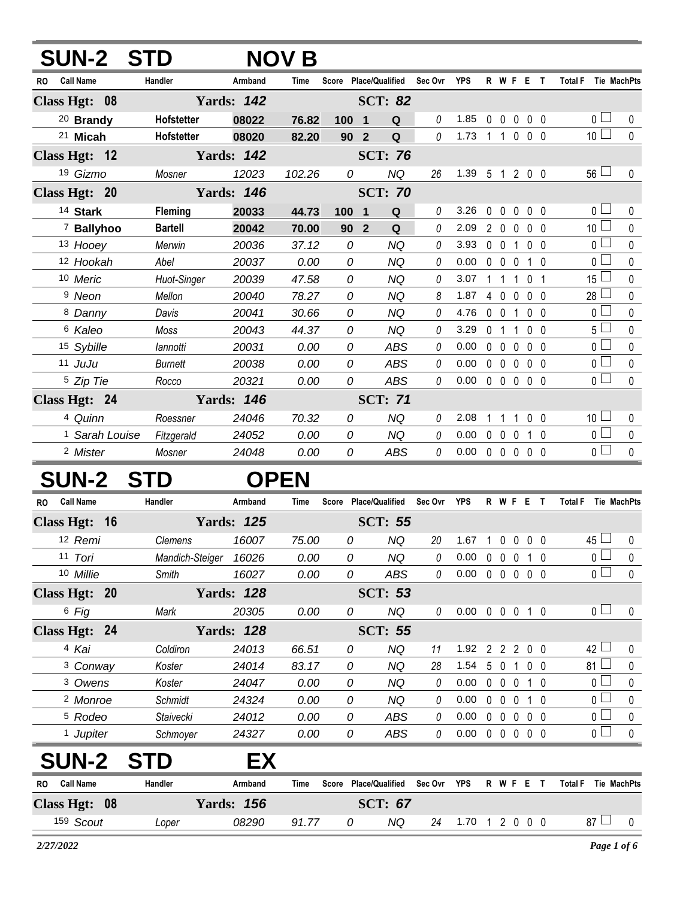| <b>SUN-2 STD</b>              |                       |                   | <b>NOV B</b> |                               |                       |             |                |                |                   |                  |                |                                      |             |
|-------------------------------|-----------------------|-------------------|--------------|-------------------------------|-----------------------|-------------|----------------|----------------|-------------------|------------------|----------------|--------------------------------------|-------------|
| <b>Call Name</b><br><b>RO</b> | Handler               | Armband           | Time         |                               | Score Place/Qualified | Sec Ovr     | <b>YPS</b>     |                |                   | <b>R W F E T</b> |                | <b>Total F</b><br><b>Tie MachPts</b> |             |
| Class Hgt: 08                 |                       | <b>Yards: 142</b> |              |                               | <b>SCT: 82</b>        |             |                |                |                   |                  |                |                                      |             |
| <sup>20</sup> Brandy          | Hofstetter            | 08022             | 76.82        | 100 1                         | Q                     | 0           | 1.85           |                |                   | 00000            |                | 0 <sup>1</sup>                       | 0           |
| <sup>21</sup> Micah           | Hofstetter            | 08020             | 82.20        | 90<br>$\overline{\mathbf{2}}$ | $\mathbf Q$           | 0           | 1.73           |                | $1 1 0$           |                  | $0\quad 0$     | 10 <sup>1</sup>                      | $\mathbf 0$ |
| Class Hgt: 12                 |                       | <b>Yards: 142</b> |              |                               | <b>SCT: 76</b>        |             |                |                |                   |                  |                |                                      |             |
| 19 Gizmo                      | Mosner                | 12023             | 102.26       | 0                             | <b>NQ</b>             | 26          | 1.39           |                |                   | 5 1 2 0 0        |                | $56 \Box$                            | 0           |
| Class Hgt: 20                 |                       | <b>Yards: 146</b> |              |                               | <b>SCT: 70</b>        |             |                |                |                   |                  |                |                                      |             |
| 14 Stark                      | Fleming               | 20033             | 44.73        | 100<br>-1                     | Q                     | 0           | 3.26           | 0              | $0\quad 0$        |                  | $0\quad 0$     | 0 <sub>1</sub>                       | 0           |
| 7 Ballyhoo                    | <b>Bartell</b>        | 20042             | 70.00        | 90                            | Q<br>$\overline{2}$   | 0           | 2.09           |                | 200               |                  | $0\quad 0$     | 10 <sup>L</sup>                      | 0           |
| 13 Hooey                      | Merwin                | 20036             | 37.12        | 0                             | NQ                    | 0           | 3.93           |                | $0\quad 0$        | 1                | $0\quad 0$     | 0 <sub>0</sub>                       | 0           |
| 12 Hookah                     | Abel                  | 20037             | 0.00         | 0                             | <b>NQ</b>             | 0           | 0.00           |                | $0\quad 0\quad 0$ |                  | $1\quad0$      | 0 l                                  | 0           |
| 10 Meric                      | Huot-Singer           | 20039             | 47.58        | 0                             | NQ                    | 0           | 3.07           | 1              | 1                 | 0<br>1           | - 1            | 15 <sup>1</sup>                      | 0           |
| <sup>9</sup> Neon             | Mellon                | 20040             | 78.27        | 0                             | <b>NQ</b>             | 8           | 1.87           | $\overline{4}$ | $\mathbf 0$       | $\mathbf 0$      | $0\quad 0$     | 28 <sup>1</sup>                      | 0           |
| 8 Danny                       | Davis                 | 20041             | 30.66        | 0                             | <b>NQ</b>             | 0           | 4.76           |                | $0\quad 0$        | $\mathbf{1}$     | $0\quad 0$     | $\mathbf{0}$                         | 0           |
| <sup>6</sup> Kaleo            | Moss                  | 20043             | 44.37        | 0                             | <b>NQ</b>             | 0           | 3.29           | 0              | $\overline{1}$    | 1                | $0\quad 0$     | 5 <sup>1</sup>                       | 0           |
| 15 Sybille                    | lannotti              | 20031             | 0.00         | 0                             | <b>ABS</b>            | 0           | 0.00           |                | $0\quad 0$        | 0                | $0\quad 0$     | 0 l                                  | 0           |
| $11$ JuJu                     | <b>Burnett</b>        | 20038             | 0.00         | 0                             | <b>ABS</b>            | 0           | 0.00           |                | $0\quad 0\quad 0$ |                  | $0\quad 0$     | 0 <sub>0</sub>                       | 0           |
| <sup>5</sup> Zip Tie          | Rocco                 | 20321             | 0.00         | 0                             | <b>ABS</b>            | 0           | 0.00           |                | $0\quad 0\quad 0$ |                  | 0 <sub>0</sub> | 0 l                                  | 0           |
| Class Hgt: 24                 |                       | <b>Yards: 146</b> |              |                               | <b>SCT: 71</b>        |             |                |                |                   |                  |                |                                      |             |
| 4 Quinn                       | Roessner              | 24046             | 70.32        | 0                             | <b>NQ</b>             | 0           | 2.08           |                | 1                 | 1                | 0 <sub>0</sub> | 10 <sup>1</sup>                      | 0           |
| <sup>1</sup> Sarah Louise     | Fitzgerald            | 24052             | 0.00         | 0                             | <b>NQ</b>             | 0           | 0.00           | $\mathbf 0$    | $\mathbf 0$       | 0                | $1\quad0$      | 0 <sup>1</sup>                       | $\pmb{0}$   |
| <sup>2</sup> Mister           | Mosner                | 24048             | 0.00         | 0                             | <b>ABS</b>            | 0           | 0.00           |                | $0\quad 0\quad 0$ |                  | 0 <sub>0</sub> | 0 l                                  | 0           |
| <b>SUN-2</b>                  | <b>STD</b>            |                   | <b>OPEN</b>  |                               |                       |             |                |                |                   |                  |                |                                      |             |
| <b>Call Name</b><br><b>RO</b> | Handler               | Armband           | Time         |                               | Score Place/Qualified | Sec Ovr     | <b>YPS</b>     |                |                   | <b>R W F E T</b> |                | <b>Total F</b><br>Tie MachPts        |             |
| Class Hgt: 16                 |                       | <b>Yards: 125</b> |              |                               | <b>SCT: 55</b>        |             |                |                |                   |                  |                |                                      |             |
| 12 Remi                       | Clemens               | 16007             | 75.00        | 0                             | <b>NQ</b>             | 20          | $1.67$ 1       |                | $0\quad 0$        |                  | $0\quad 0$     | $45 \Box$                            | 0           |
| 11 Tori                       | Mandich-Steiger 16026 |                   | 0.00         | 0                             | <b>NQ</b>             | 0           | 0.00           | 0              | $0\quad 0$        |                  | $1\quad0$      | $\overline{0}$                       | 0           |
| 10 Millie                     | Smith                 | 16027             | 0.00         | 0                             | <b>ABS</b>            | 0           | 0.00           |                |                   | 00000            |                | $\overline{0}$                       | 0           |
| Class Hgt: 20                 |                       | <b>Yards: 128</b> |              |                               | <b>SCT: 53</b>        |             |                |                |                   |                  |                |                                      |             |
| 6 Fig                         | Mark                  | 20305             | 0.00         | 0                             | <b>NQ</b>             | 0           | 0.00           |                |                   | 0 0 0 1 0        |                | 0 <sub>1</sub>                       | 0           |
| Class Hgt: 24                 |                       | <b>Yards: 128</b> |              |                               | <b>SCT: 55</b>        |             |                |                |                   |                  |                |                                      |             |
| 4 Kai                         | Coldiron              | 24013             | 66.51        | 0                             | <b>NQ</b>             | 11          | 1.92           |                |                   | 2 2 2 0 0        |                | 42 l                                 | 0           |
| <sup>3</sup> Conway           | Koster                | 24014             | 83.17        | 0                             | <b>NQ</b>             | 28          | 1.54           |                | $5\quad0$         | 1                | $0\quad 0$     | 81 <sup>l</sup>                      | 0           |
| 3 Owens                       | Koster                | 24047             | 0.00         | 0                             | <b>NQ</b>             | 0           | 0.00           |                | $0\quad 0\quad 0$ |                  | $1\quad0$      | 0 l                                  | 0           |
| <sup>2</sup> Monroe           | Schmidt               | 24324             | 0.00         | 0                             | NQ                    | 0           | 0.00           |                | $0\quad 0\quad 0$ |                  | 10             | 0 <sub>1</sub>                       | 0           |
| <sup>5</sup> Rodeo            | Staivecki             | 24012             | 0.00         | 0                             | <b>ABS</b>            | 0           | 0.00           |                | $0\quad 0\quad 0$ |                  | $0\quad 0$     | 0 <sup>1</sup>                       | 0           |
| <sup>1</sup> Jupiter          | Schmoyer              | 24327             | 0.00         | 0                             | ABS                   | 0           | 0.00           |                |                   | 00000            |                | $\overline{0}$ $\Box$                | $\mathbf 0$ |
| <b>SUN-2</b>                  | <b>STD</b>            | EX                |              |                               |                       |             |                |                |                   |                  |                |                                      |             |
| <b>Call Name</b><br>RO.       | Handler               | Armband           | Time         |                               | Score Place/Qualified | Sec Ovr YPS |                |                |                   | R W F E T        |                | <b>Total F</b><br>Tie MachPts        |             |
| Class Hgt: 08                 |                       | <b>Yards: 156</b> |              |                               | <b>SCT: 67</b>        |             |                |                |                   |                  |                |                                      |             |
| 159 Scout                     | Loper                 | 08290             | 91.77        | 0                             | NQ                    | 24          | 1.70 1 2 0 0 0 |                |                   |                  |                | $87 \Box$                            | 0           |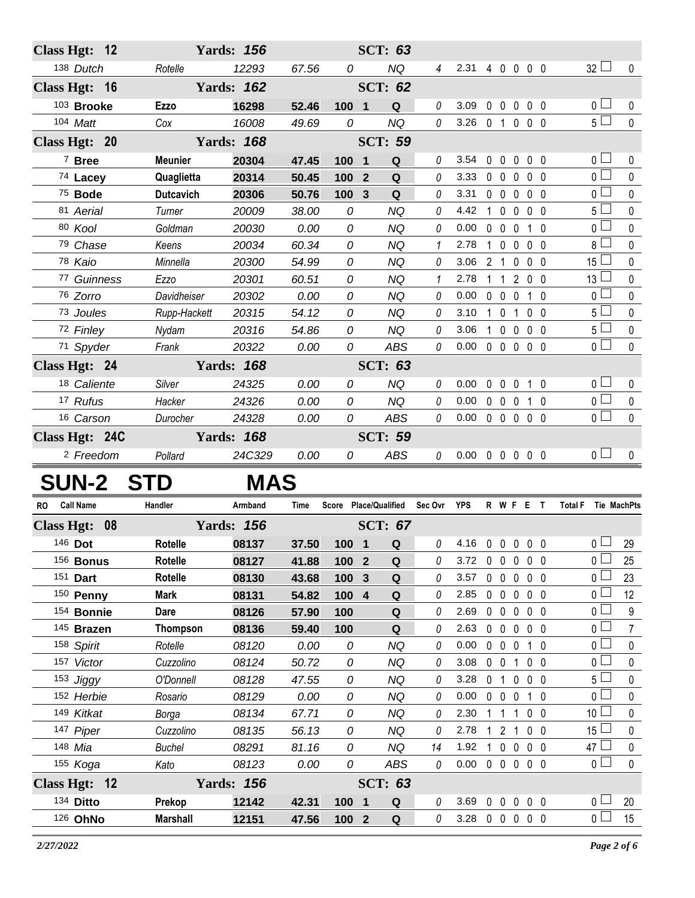| Class Hgt: 12                 |                           | <b>Yards: 156</b> |                |                  | <b>SCT: 63</b>                |                |                                  |                |                                  |                                 |                |                                      |                        |
|-------------------------------|---------------------------|-------------------|----------------|------------------|-------------------------------|----------------|----------------------------------|----------------|----------------------------------|---------------------------------|----------------|--------------------------------------|------------------------|
| 138 Dutch                     | Rotelle                   | 12293             | 67.56          | 0                | <b>NQ</b>                     | $\overline{4}$ | 2.31                             |                |                                  | 4 0 0 0 0                       |                | $32 \Box$                            | $\pmb{0}$              |
| Class Hgt: 16                 |                           | <b>Yards: 162</b> |                |                  | <b>SCT: 62</b>                |                |                                  |                |                                  |                                 |                |                                      |                        |
| 103 Brooke                    | Ezzo                      | 16298             | 52.46          | 100 1            | Q                             | 0              | 3.09                             | $\mathbf 0$    |                                  | $0\quad 0\quad 0\quad 0$        |                | 0 <sub>1</sub>                       | 0                      |
| 104 Matt                      | Cox                       | 16008             | 49.69          | 0                | <b>NQ</b>                     | 0              | 3.26                             | 0 <sub>1</sub> |                                  | $0\quad 0\quad 0$               |                | $5\Box$                              | $\mathbf 0$            |
| Class Hgt: 20                 |                           | <b>Yards: 168</b> |                |                  | <b>SCT: 59</b>                |                |                                  |                |                                  |                                 |                |                                      |                        |
| <sup>7</sup> Bree             | <b>Meunier</b>            | 20304             | 47.45          | 100              | Q<br>$\overline{\mathbf{1}}$  | 0              | 3.54                             | $\mathbf 0$    | $\mathbf{0}$                     | $0\quad 0\quad 0$               |                | $0-$                                 | 0                      |
| 74 Lacey                      | Quaglietta                | 20314             | 50.45          | 100              | $\overline{2}$<br>$\mathbf Q$ | 0              | 3.33                             | $\mathbf 0$    | $\mathbf 0$<br>$\mathbf 0$       |                                 | $0\quad 0$     | $\overline{0}$                       | $\pmb{0}$              |
| 75 Bode                       | <b>Dutcavich</b>          | 20306             | 50.76          | 100              | Q<br>$\mathbf{3}$             | 0              | 3.31                             | $0\quad 0$     | $\mathsf{O}$                     |                                 | $0\quad 0$     | 0 l                                  | 0                      |
| 81 Aerial                     | Turner                    | 20009             | 38.00          | 0                | <b>NQ</b>                     | 0              | 4.42                             | $\mathbf{1}$   | $\mathbf 0$<br>$\mathbf{0}$      |                                 | 0 <sub>0</sub> | $5\perp$                             | 0                      |
| 80 Kool                       | Goldman                   | 20030             | 0.00           | 0                | <b>NQ</b>                     | 0              | 0.00                             | $\mathbf 0$    | $\mathbf 0$<br>$\mathbf 0$       |                                 | $1\quad0$      | 0 l                                  | $\mathbf 0$            |
| 79 Chase                      | Keens                     | 20034             | 60.34          | 0                | <b>NQ</b>                     | 1              | 2.78                             | 1              | $\mathbf 0$<br>$\mathbf 0$       |                                 | $0\quad 0$     | 8 L                                  | $\pmb{0}$              |
| 78 Kaio                       | Minnella                  | 20300             | 54.99          | 0                | <b>NQ</b>                     | 0              | 3.06                             | 2 <sub>1</sub> | $\mathbf 0$                      |                                 | $0\quad 0$     | 15                                   | 0                      |
| 77 Guinness                   | Ezzo                      | 20301             | 60.51          | 0                | <b>NQ</b>                     | 1              | 2.78                             | 1              | $\overline{1}$                   | $\overline{2}$                  | $0\quad 0$     | $13\sqcup$                           | 0                      |
| 76 Zorro                      | Davidheiser               | 20302             | 0.00           | 0                | <b>NQ</b>                     | 0              | 0.00                             | $0\quad 0$     | $\mathbf 0$                      |                                 | $1\quad0$      | 0 l                                  | 0                      |
| 73 Joules                     | Rupp-Hackett              | 20315             | 54.12          | 0                | <b>NQ</b>                     | 0              | 3.10                             | $\mathbf{1}$   | $\overline{0}$<br>$\overline{1}$ |                                 | $0\quad 0$     | $5\Box$                              | $\pmb{0}$              |
| 72 Finley                     | Nydam                     | 20316             | 54.86          | 0                | <b>NQ</b>                     | 0              | 3.06                             | $\mathbf{1}$   | $0\quad 0$                       |                                 | $0\quad 0$     | 5 <sup>1</sup>                       | 0                      |
| 71 Spyder                     | Frank                     | 20322             | 0.00           | 0                | <b>ABS</b>                    | 0              | 0.00                             |                |                                  | $0\quad 0\quad 0\quad 0\quad 0$ |                | 0 <sub>1</sub>                       | $\mathbf{0}$           |
| Class Hgt: 24                 |                           | <b>Yards: 168</b> |                |                  | <b>SCT: 63</b>                |                |                                  |                |                                  |                                 |                |                                      |                        |
| 18 Caliente                   | Silver                    | 24325             | 0.00           | 0                | <b>NQ</b>                     | 0              | 0.00                             | $\mathbf 0$    | $0\quad 0$                       |                                 | $1\quad0$      | 0 L                                  | 0                      |
| 17 Rufus                      | Hacker                    | 24326             | 0.00           | 0                | <b>NQ</b>                     | 0              | 0.00                             |                | $0\quad 0\quad 0$                |                                 | $1\quad0$      | 0 <sup>1</sup>                       | $\pmb{0}$              |
| 16 Carson                     | Durocher                  | 24328             | 0.00           | 0                | <b>ABS</b>                    | 0              | 0.00                             |                |                                  | 0 0 0 0 0                       |                | 0 <sub>0</sub>                       | $\pmb{0}$              |
| Class Hgt: 24C                |                           | <b>Yards: 168</b> |                |                  | <b>SCT: 59</b>                |                |                                  |                |                                  |                                 |                |                                      |                        |
| <sup>2</sup> Freedom          | Pollard                   | 24C329            | 0.00           | 0                | <b>ABS</b>                    | 0              | $0.00 \t0 \t0 \t0 \t0 \t0$       |                |                                  |                                 |                | 0 <sub>1</sub>                       | $\mathbf 0$            |
| <b>SUN-2</b>                  | ST                        | <b>MAS</b>        |                |                  |                               |                |                                  |                |                                  |                                 |                |                                      |                        |
| <b>Call Name</b><br><b>RO</b> | Handler                   | Armband           | Time           |                  | Score Place/Qualified         | Sec Ovr        | YPS                              |                |                                  | <b>RWFET</b>                    |                | <b>Total F</b><br><b>Tie MachPts</b> |                        |
|                               |                           |                   |                |                  |                               |                |                                  |                |                                  |                                 |                |                                      |                        |
| <b>Class Hgt:</b><br>08       |                           | <b>Yards: 156</b> |                |                  | <b>SCT: 67</b>                |                |                                  |                |                                  |                                 |                |                                      |                        |
| 146 Dot                       | Rotelle                   | 08137             | 37.50          | 100              | $\overline{\mathbf{1}}$<br>Q  | 0              | 4.16 0 0 0 0 0                   |                |                                  |                                 |                | $\overline{0}$ $\Box$                | 29                     |
| 156 <b>Bonus</b><br>151 Dart  | Rotelle<br>Rotelle        | 08127             | 41.88          | 100 2            | Q                             | 0              | 3.72                             |                |                                  | 00000                           |                | 0 L                                  | 25<br>23               |
| 150 Penny                     |                           |                   |                |                  |                               |                |                                  |                |                                  |                                 |                |                                      |                        |
| 154 Bonnie                    |                           | 08130             | 43.68          | 100 <sub>3</sub> | ${\bf Q}$                     | 0              | 3.57                             |                |                                  | $0\quad 0\quad 0\quad 0\quad 0$ |                | $0-$                                 |                        |
|                               | <b>Mark</b>               | 08131             | 54.82          | 100 4            | $\mathbf Q$                   | 0              | 2.85                             |                |                                  | 00000                           |                | 0 l                                  | 12                     |
|                               | Dare                      | 08126             | 57.90          | 100              | Q                             | 0              | 2.69                             |                |                                  | 00000                           |                | 0 l                                  | 9                      |
| 145 Brazen                    | <b>Thompson</b>           | 08136             | 59.40          | 100              | Q                             | 0              | 2.63                             |                |                                  | 00000                           |                | 0 l                                  | $\overline{7}$         |
| 158 Spirit                    | Rotelle                   | 08120             | 0.00           | 0                | <b>NQ</b>                     | 0              | 0.00                             |                |                                  | 0 0 0 1 0                       |                | 0 <sub>0</sub>                       | $\pmb{0}$              |
| 157 Victor                    | Cuzzolino                 | 08124             | 50.72          | 0                | <b>NQ</b>                     | 0              | 3.08                             |                |                                  | 0 0 1 0 0                       |                | 0 l                                  | 0                      |
| 153 Jiggy                     | O'Donnell                 | 08128             | 47.55          | 0                | <b>NQ</b>                     | 0              | 3.28                             | 0 <sub>1</sub> |                                  | $0\quad 0\quad 0$               |                | 5 <sup>1</sup>                       | 0                      |
| 152 Herbie                    | Rosario                   | 08129             | 0.00           | 0                | <b>NQ</b>                     | 0              | 0.00                             |                |                                  | 0 0 0 1 0                       |                | 0 l                                  | 0                      |
| 149 Kitkat                    | Borga                     | 08134             | 67.71          | 0                | <b>NQ</b>                     | 0              | 2.30                             | 1 1            |                                  | $1 0 0$                         |                | 10 <sup>1</sup>                      | 0                      |
| 147 Piper<br>148 Mia          | Cuzzolino                 | 08135             | 56.13          | 0<br>0           | NQ                            | 0<br>14        | 2.78<br>1.92                     | $\mathbf{1}$   | 1 2 1                            |                                 | $0\quad 0$     | 15 <sup>1</sup><br>47 <sup>1</sup>   | 0                      |
|                               | <b>Buchel</b>             | 08291             | 81.16          | 0                | <b>NQ</b>                     | 0              | 0.00                             |                |                                  | 0 0 0 0<br>00000                |                | 0 <sub>0</sub>                       | $\pmb{0}$<br>$\pmb{0}$ |
| 155 Koga                      | Kato                      | 08123             | 0.00           |                  | ABS                           |                |                                  |                |                                  |                                 |                |                                      |                        |
| Class Hgt: 12                 |                           | <b>Yards: 156</b> |                |                  | <b>SCT: 63</b>                |                |                                  |                |                                  |                                 |                |                                      |                        |
| 134 Ditto<br>126 OhNo         | Prekop<br><b>Marshall</b> | 12142<br>12151    | 42.31<br>47.56 | 100 1<br>$1002$  | Q<br>Q                        | 0<br>0         | 3.69 0 0 0 0 0<br>3.28 0 0 0 0 0 |                |                                  |                                 |                | 0 <sub>0</sub><br>0 <sub>0</sub>     | 20<br>15               |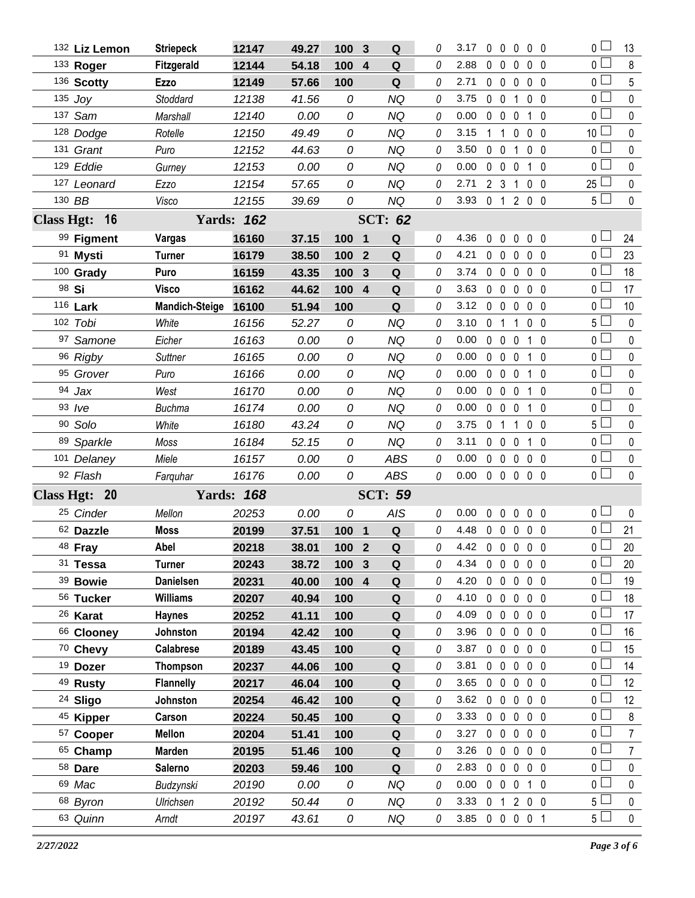|                   | 132 Liz Lemon       | <b>Striepeck</b>      | 12147             | 49.27 | 100   | 3                | Q                  | 0 | 3.17           | 0              | - 0            | 0                               | $0\quad 0$     |              | 0 <sup>1</sup>  | 13             |
|-------------------|---------------------|-----------------------|-------------------|-------|-------|------------------|--------------------|---|----------------|----------------|----------------|---------------------------------|----------------|--------------|-----------------|----------------|
|                   | 133 Roger           | Fitzgerald            | 12144             | 54.18 | 100   | $\boldsymbol{4}$ | Q                  | 0 | 2.88           |                | $0\quad 0$     | 0                               | 0 <sub>0</sub> |              | $\overline{0}$  | 8              |
|                   | 136 Scotty          | <b>Ezzo</b>           | 12149             | 57.66 | 100   |                  | Q                  | 0 | 2.71           |                | $0\quad 0$     | $\mathbf 0$                     | $0\quad 0$     |              | 0 <sup>1</sup>  | 5              |
|                   | 135 $Joy$           | Stoddard              | 12138             | 41.56 | 0     |                  | <b>NQ</b>          | 0 | 3.75           |                | $0\quad 0$     | 1                               | 0 <sub>0</sub> |              | $\overline{0}$  | $\mathbf 0$    |
|                   | 137 Sam             | Marshall              | 12140             | 0.00  | 0     |                  | <b>NQ</b>          | 0 | 0.00           |                | $0\quad 0$     | $\mathbf 0$                     | $1\quad0$      |              | 0               | 0              |
|                   | 128 Dodge           | Rotelle               | 12150             | 49.49 | 0     |                  | <b>NQ</b>          | 0 | 3.15           | 1              | $\overline{1}$ | 0                               | $0\quad 0$     |              | 10 <sup>1</sup> | $\pmb{0}$      |
|                   | 131 Grant           | Puro                  | 12152             | 44.63 | 0     |                  | <b>NQ</b>          | 0 | 3.50           |                | $0\quad 0$     | 1                               | $0\quad 0$     |              | 0               | $\pmb{0}$      |
|                   | 129 Eddie           | Gurney                | 12153             | 0.00  | 0     |                  | NQ                 | 0 | 0.00           |                | $0\quad 0$     | 0                               | $\mathbf 1$    | $\mathbf{0}$ | 0 <sub>l</sub>  | $\mathbf 0$    |
|                   | 127 Leonard         | Ezzo                  | 12154             | 57.65 | 0     |                  | <b>NQ</b>          | 0 | 2.71           |                | 2 <sub>3</sub> | $\mathbf{1}$                    | 0 <sub>0</sub> |              | 25              | $\pmb{0}$      |
|                   | 130 BB              | Visco                 | 12155             | 39.69 | 0     |                  | <b>NQ</b>          | 0 | 3.93           |                |                | 0 1 2 0 0                       |                |              | 5 <sub>1</sub>  | $\pmb{0}$      |
| <b>Class Hgt:</b> | 16                  | <b>Yards: 162</b>     |                   |       |       |                  |                    |   |                |                |                |                                 |                |              |                 |                |
|                   | 99 Figment          | <b>Vargas</b>         | 16160             | 37.15 | 100   | $\blacksquare$   | Q                  | 0 | 4.36           |                | $0\quad 0$     | 0                               | 0 <sub>0</sub> |              | 0 l             | 24             |
|                   | 91 Mysti            | <b>Turner</b>         | 16179             | 38.50 | 100   | $\mathbf{2}$     | $\mathbf Q$        | 0 | 4.21           |                | $0\quad 0$     | 0                               | 0 <sub>0</sub> |              | 0 <sub>1</sub>  | 23             |
|                   | 100 Grady           | Puro                  | 16159             | 43.35 | 100   | 3                | Q                  | 0 | 3.74           |                | $0\quad 0$     | $\mathbf 0$                     | 0 <sub>0</sub> |              | 0 <sub>0</sub>  | 18             |
|                   | 98 Si               | <b>Visco</b>          | 16162             | 44.62 | 100 4 |                  | Q                  | 0 | 3.63           |                | $0\quad 0$     | 0                               | 0 <sub>0</sub> |              | 0 <sup>1</sup>  | 17             |
|                   | 116 Lark            | <b>Mandich-Steige</b> | 16100             | 51.94 | 100   |                  | Q                  | 0 | 3.12           |                | $0\quad 0$     | $\mathbf 0$                     | $0\quad 0$     |              | 0 l             | 10             |
|                   | 102 Tobi            | White                 | 16156             | 52.27 | 0     |                  | <b>NQ</b>          | 0 | 3.10           | 0 <sub>1</sub> |                | 1                               | $0\quad 0$     |              | 5 <sub>1</sub>  | 0              |
|                   | 97 Samone           | Eicher                | 16163             | 0.00  | 0     |                  | <b>NQ</b>          | 0 | 0.00           |                | $0\quad 0$     | $\mathbf 0$                     | $\mathbf{1}$   | $\mathbf{0}$ | 0 <sub>0</sub>  | $\pmb{0}$      |
|                   | 96 Rigby            | Suttner               | 16165             | 0.00  | 0     |                  | <b>NQ</b>          | 0 | 0.00           |                | $0\quad 0$     | $\mathbf 0$                     | $\mathbf{1}$   | $\mathbf{0}$ | 0 <sub>1</sub>  | $\mathbf 0$    |
|                   | 95 Grover           | Puro                  | 16166             | 0.00  | 0     |                  | <b>NQ</b>          | 0 | 0.00           |                | $0\quad 0$     | $\mathbf 0$                     | $1\quad0$      |              | 0 <sub>0</sub>  | $\mathbf{0}$   |
|                   | 94 Jax              | West                  | 16170             | 0.00  | 0     |                  | <b>NQ</b>          | 0 | 0.00           |                | $0\quad 0$     | 0                               | $1\quad0$      |              | 0 <sup>1</sup>  | $\pmb{0}$      |
|                   | $93$ /ve            | <b>Buchma</b>         | 16174             | 0.00  | 0     |                  | <b>NQ</b>          | 0 | 0.00           |                | $0\quad 0$     | $\mathbf 0$                     | $\mathbf{1}$   | $\mathbf{0}$ | 0l              | 0              |
|                   | 90 Solo             | White                 | 16180             | 43.24 | 0     |                  | <b>NQ</b>          | 0 | 3.75           | 0              | $\overline{1}$ | 1                               | $0\quad 0$     |              | 5 <sub>1</sub>  | $\pmb{0}$      |
|                   | 89 Sparkle          | Moss                  | 16184             | 52.15 | 0     |                  | <b>NQ</b>          | 0 | 3.11           |                | $0\quad 0$     | $\mathbf 0$                     | $1\quad0$      |              | 0 l             | 0              |
|                   | 101 Delaney         | Miele                 | 16157             | 0.00  | 0     |                  | <b>ABS</b>         | 0 | 0.00           |                | $0\quad 0$     | $\mathbf 0$                     | $0\quad 0$     |              | 0 <sub>0</sub>  | $\pmb{0}$      |
|                   | 92 Flash            | Farguhar              | 16176             | 0.00  | 0     |                  | <b>ABS</b>         | 0 | 0.00           |                |                | $0\quad 0\quad 0\quad 0\quad 0$ |                |              | 0 <sub>0</sub>  | $\mathbf 0$    |
|                   | Class Hgt: 20       |                       | <b>Yards: 168</b> |       |       |                  | <b>SCT: 59</b>     |   |                |                |                |                                 |                |              |                 |                |
|                   | 25 Cinder           | Mellon                | 20253             | 0.00  | 0     |                  | AIS                | 0 | 0.00           |                | $0\quad 0$     | $\mathbf 0$                     | $0\quad 0$     |              | 0 <sub>0</sub>  | $\pmb{0}$      |
|                   | 62 Dazzle           | Moss                  | 20199             | 37.51 | 100 1 |                  | $\mathbf Q$        | 0 | 4.48           |                |                | 00000                           |                |              | 0 l             | 21             |
|                   | 48 Fray             | Abel                  | 20218             | 38.01 | 100 2 |                  | Q                  | 0 | 4.42 0 0 0 0 0 |                |                |                                 |                |              | $\overline{0}$  | $20\,$         |
|                   | 31 Tessa            | Turner                | 20243             | 38.72 | 100   | $\mathbf{3}$     | Q                  | 0 | 4.34           |                | $0\quad 0$     | $\mathbf 0$                     | $0\quad 0$     |              | 0 l             | 20             |
|                   | 39 Bowie            | <b>Danielsen</b>      | 20231             | 40.00 | 100 4 |                  | ${\bf Q}$          | 0 | 4.20           |                | $0\quad 0$     | $\mathbf 0$                     | $0\quad 0$     |              | 0 <sub>1</sub>  | 19             |
|                   | 56 Tucker           | <b>Williams</b>       | 20207             | 40.94 | 100   |                  | Q                  | 0 | 4.10           |                | $0\quad 0$     | $\mathbf 0$                     | $0\quad 0$     |              | 0 L             | 18             |
|                   | <sup>26</sup> Karat | <b>Haynes</b>         | 20252             | 41.11 | 100   |                  | $\pmb{\mathsf{Q}}$ | 0 | 4.09           |                | $0\quad 0$     | $\mathbf 0$                     | $0\quad 0$     |              | 0 <sub>0</sub>  | 17             |
|                   | 66 Clooney          | Johnston              | 20194             | 42.42 | 100   |                  | Q                  | 0 | 3.96           |                | $0\quad 0$     | $\mathbf 0$                     | $0\quad 0$     |              | 0 L             | 16             |
|                   | 70 Chevy            | <b>Calabrese</b>      | 20189             | 43.45 | 100   |                  | $\pmb{\mathsf{Q}}$ | 0 | 3.87           |                | $0\quad 0$     | 0                               | 0 <sub>0</sub> |              | 0 <sub>0</sub>  | 15             |
|                   | <sup>19</sup> Dozer | <b>Thompson</b>       | 20237             | 44.06 | 100   |                  | Q                  | 0 | 3.81           |                | $0\quad 0$     | $\mathbf 0$                     | $0\quad 0$     |              | 0 L             | 14             |
|                   | <sup>49</sup> Rusty | <b>Flannelly</b>      | 20217             | 46.04 | 100   |                  | Q                  | 0 | 3.65           |                | $0\quad 0$     | $\mathbf 0$                     | $0\quad 0$     |              | 0 <sup>2</sup>  | 12             |
|                   | <sup>24</sup> Sligo | Johnston              | 20254             | 46.42 | 100   |                  | Q                  | 0 | 3.62           |                | $0\quad 0$     | 0                               | $0\quad 0$     |              | 0 l             | 12             |
|                   | 45 Kipper           | Carson                | 20224             | 50.45 | 100   |                  | Q                  | 0 | 3.33           |                | $0\quad 0$     | $\mathbf 0$                     | $0\quad 0$     |              | 0 <sub>1</sub>  | $\bf 8$        |
|                   | 57 Cooper           | <b>Mellon</b>         | 20204             | 51.41 | 100   |                  | Q                  | 0 | 3.27           |                | $0\quad 0$     | 0                               | 0 <sub>0</sub> |              | 0 <sub>0</sub>  | $\overline{7}$ |
|                   | 65 Champ            | <b>Marden</b>         | 20195             | 51.46 | 100   |                  | Q                  | 0 | 3.26           |                | $0\quad 0$     | $\mathbf 0$                     | $0\quad 0$     |              | 0 <sup>1</sup>  | $\overline{7}$ |
|                   | 58 Dare             | Salerno               | 20203             | 59.46 | 100   |                  | Q                  | 0 | 2.83           |                | $0\quad 0$     | $\mathbf 0$                     | $0\quad 0$     |              | 0 <sub>0</sub>  | $\mathbf 0$    |
|                   | 69 Mac              | Budzynski             | 20190             | 0.00  | 0     |                  | <b>NQ</b>          | 0 | 0.00           |                | $0\quad 0$     | $\mathbf 0$                     | $1\quad 0$     |              | 0 <sup>1</sup>  | $\pmb{0}$      |
|                   | 68 Byron            | Ulrichsen             | 20192             | 50.44 | 0     |                  | NQ                 | 0 | 3.33           |                |                | 0 1 2 0 0                       |                |              | 5 <sup>L</sup>  | 0              |
|                   | 63 Quinn            | Arndt                 | 20197             | 43.61 | 0     |                  | NQ                 | 0 | 3.85 0 0 0 0 1 |                |                |                                 |                |              | 5 <sub>1</sub>  | $\mathbf 0$    |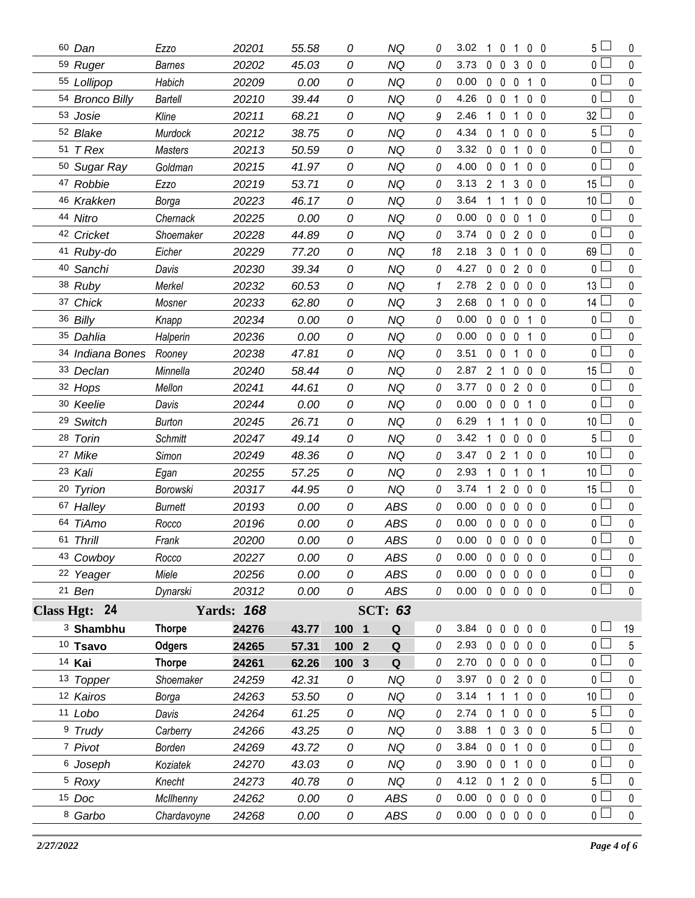| 60 Dan              | Ezzo           | 20201             | 55.58 | 0                              | NQ             | 0  | 3.02 | 10             | 1                              |              | 0 <sub>0</sub> | $5\perp$        | 0           |
|---------------------|----------------|-------------------|-------|--------------------------------|----------------|----|------|----------------|--------------------------------|--------------|----------------|-----------------|-------------|
| 59 Ruger            | <b>Barnes</b>  | 20202             | 45.03 | 0                              | <b>NQ</b>      | 0  | 3.73 | $\mathbf 0$    | $\mathbf 0$<br>3               |              | 0 <sub>0</sub> | $\overline{0}$  | $\mathbf 0$ |
| 55 Lollipop         | Habich         | 20209             | 0.00  | 0                              | <b>NQ</b>      | 0  | 0.00 | $0\quad 0$     | $\mathbf 0$                    |              | $1\quad0$      | 0 L             | $\pmb{0}$   |
| 54 Bronco Billy     | <b>Bartell</b> | 20210             | 39.44 | 0                              | <b>NQ</b>      | 0  | 4.26 | $\mathbf 0$    | $\mathbf 0$<br>1               |              | 0 <sub>0</sub> | 0 <sup>1</sup>  | $\pmb{0}$   |
| 53 Josie            | Kline          | 20211             | 68.21 | 0                              | <b>NQ</b>      | 9  | 2.46 | $\mathbf{1}$   | $\mathbf 0$<br>1               |              | 0 <sub>0</sub> | 32              | 0           |
| 52 Blake            | Murdock        | 20212             | 38.75 | 0                              | <b>NQ</b>      | 0  | 4.34 | $\mathbf 0$    | $\overline{1}$<br>0            |              | 0 <sub>0</sub> | 5 <sup>1</sup>  | $\pmb{0}$   |
| 51 T Rex            | Masters        | 20213             | 50.59 | 0                              | <b>NQ</b>      | 0  | 3.32 | $0\quad 0$     | 1                              |              | 0 <sub>0</sub> | $\mathbf 0$     | $\pmb{0}$   |
| 50 Sugar Ray        | Goldman        | 20215             | 41.97 | 0                              | <b>NQ</b>      | 0  | 4.00 | $0\quad 0$     | 1                              |              | 0 <sub>0</sub> | 0 L             | $\pmb{0}$   |
| 47 Robbie           | Ezzo           | 20219             | 53.71 | 0                              | <b>NQ</b>      | 0  | 3.13 | 2 <sub>1</sub> | 3                              |              | 0 <sub>0</sub> | 15              | $\pmb{0}$   |
| 46 Krakken          | Borga          | 20223             | 46.17 | 0                              | <b>NQ</b>      | 0  | 3.64 | 1              | -1<br>1                        |              | $0\quad 0$     | 10 <sup>1</sup> | $\pmb{0}$   |
| 44 Nitro            | Chernack       | 20225             | 0.00  | 0                              | <b>NQ</b>      | 0  | 0.00 | $\mathbf 0$    | $\mathbf 0$<br>0               | $\mathbf{1}$ | $\overline{0}$ | 0               | $\pmb{0}$   |
| 42 Cricket          | Shoemaker      | 20228             | 44.89 | 0                              | <b>NQ</b>      | 0  | 3.74 | 0              | $\mathbf 0$<br>2               |              | 0 <sub>0</sub> | 0 <sub>1</sub>  | $\pmb{0}$   |
| 41 Ruby-do          | Eicher         | 20229             | 77.20 | 0                              | <b>NQ</b>      | 18 | 2.18 | 3 <sub>0</sub> | 1                              |              | $0\quad 0$     | 69              | 0           |
| 40 Sanchi           | Davis          | 20230             | 39.34 | 0                              | <b>NQ</b>      | 0  | 4.27 | $\pmb{0}$      | $\mathbf 0$<br>$\overline{2}$  |              | $0\quad 0$     | 0 <sub>1</sub>  | $\pmb{0}$   |
| 38 Ruby             | Merkel         | 20232             | 60.53 | 0                              | <b>NQ</b>      | 1  | 2.78 | $2\quad0$      | 0                              |              | 0 <sub>0</sub> | 13 <sup>1</sup> | 0           |
| 37 Chick            | Mosner         | 20233             | 62.80 | 0                              | <b>NQ</b>      | 3  | 2.68 | 0              | $\mathbf{1}$<br>0              |              | 0 <sub>0</sub> | $14 \Box$       | $\pmb{0}$   |
| 36 Billy            | Knapp          | 20234             | 0.00  | 0                              | <b>NQ</b>      | 0  | 0.00 | $0\quad 0$     | 0                              |              | $1\quad0$      | 0 l             | 0           |
| 35 Dahlia           | Halperin       | 20236             | 0.00  | 0                              | <b>NQ</b>      | 0  | 0.00 | $\mathbf 0$    | $\mathbf 0$<br>0               | $\mathbf{1}$ | $\overline{0}$ | 0 L             | $\mathbf 0$ |
| 34 Indiana Bones    | Rooney         | 20238             | 47.81 | 0                              | <b>NQ</b>      | 0  | 3.51 | $0\quad 0$     | 1                              |              | 0 <sub>0</sub> | 0 L             | $\pmb{0}$   |
| 33 Declan           | Minnella       | 20240             | 58.44 | 0                              | <b>NQ</b>      | 0  | 2.87 | 2 <sub>1</sub> | 0                              |              | $0\quad 0$     | $15 \Box$       | $\mathbf 0$ |
| 32 Hops             | Mellon         | 20241             | 44.61 | 0                              | <b>NQ</b>      | 0  | 3.77 | $0\quad 0$     | $\overline{2}$                 |              | 0 <sub>0</sub> | 0 L             | $\mathbf 0$ |
| 30 Keelie           | Davis          | 20244             | 0.00  | 0                              | <b>NQ</b>      | 0  | 0.00 | $\mathbf 0$    | $\mathbf 0$<br>0               |              | $1\quad 0$     | 0 <sup>1</sup>  | $\pmb{0}$   |
| 29 Switch           | <b>Burton</b>  | 20245             | 26.71 | 0                              | <b>NQ</b>      | 0  | 6.29 | 1.             | $\mathbf{1}$<br>1              |              | 0 <sub>0</sub> | 10 <sup>1</sup> | $\mathbf 0$ |
| 28 Torin            | <b>Schmitt</b> | 20247             | 49.14 | 0                              | <b>NQ</b>      | 0  | 3.42 | $\mathbf{1}$   | $\overline{0}$<br>$\mathbf 0$  |              | $0\quad 0$     | 5 <sup>1</sup>  | $\pmb{0}$   |
| 27 Mike             | Simon          | 20249             | 48.36 | 0                              | <b>NQ</b>      | 0  | 3.47 | 0 <sub>2</sub> | 1                              |              | 0 <sub>0</sub> | 10 <sup>1</sup> | $\mathbf 0$ |
| 23 Kali             | Egan           | 20255             | 57.25 | 0                              | <b>NQ</b>      | 0  | 2.93 | $\mathbf{1}$   | $\mathbf 0$<br>1               |              | 0 <sub>1</sub> | 10 <sup>°</sup> | $\pmb{0}$   |
|                     |                |                   |       |                                |                |    |      |                |                                |              |                |                 |             |
| 20 Tyrion           | Borowski       | 20317             | 44.95 | 0                              | <b>NQ</b>      | 0  | 3.74 | 1              | $\mathbf{2}$<br>$\mathbf 0$    |              | 0 <sub>0</sub> | 15 <sup>1</sup> | $\mathbf 0$ |
| 67 Halley           | Burnett        | 20193             | 0.00  | 0                              | <b>ABS</b>     | 0  | 0.00 | $\mathbf 0$    | $\mathbf 0$<br>0               |              | $0\quad 0$     | 0 <sub>1</sub>  | $\pmb{0}$   |
| 64 TiAmo            | Rocco          | 20196             | 0.00  | 0                              | <b>ABS</b>     | 0  | 0.00 | $\mathbf 0$    | $\overline{0}$<br>$\mathbf{0}$ |              | 0 <sub>0</sub> | 0 L             | $\pmb{0}$   |
| 61 Thrill           | Frank          | 20200             | 0.00  | 0                              | <b>ABS</b>     | 0  | 0.00 | $\mathbf 0$    | $\mathbf 0$<br>$\mathbf 0$     |              | 0 <sub>0</sub> | $\overline{0}$  | $\mathbf 0$ |
| 43 Cowboy           | Rocco          | 20227             | 0.00  | 0                              | <b>ABS</b>     | 0  | 0.00 | 0              | $\mathbf 0$<br>0               |              | 0 <sub>0</sub> | 0 <sub>l</sub>  | 0           |
| 22 Yeager           | Miele          | 20256             | 0.00  | 0                              | <b>ABS</b>     | 0  | 0.00 | $0\quad 0$     | $\mathbf 0$                    |              | $0\quad 0$     | $0-1$           | $\mathbf 0$ |
| 21 Ben              | Dynarski       | 20312             | 0.00  | 0                              | ABS            | 0  | 0.00 |                | 00000                          |              |                | 0 <sub>0</sub>  | $\mathbf 0$ |
| Class Hgt: 24       |                | <b>Yards: 168</b> |       |                                | <b>SCT: 63</b> |    |      |                |                                |              |                |                 |             |
| $3$ Shambhu         | <b>Thorpe</b>  | 24276             | 43.77 | 100 1                          | Q              | 0  | 3.84 | $0\quad 0$     | $\mathbf 0$                    |              | $0\quad 0$     | 0 <sub>1</sub>  | 19          |
| 10 Tsavo            | <b>Odgers</b>  | 24265             | 57.31 | 100<br>$\overline{2}$          | Q              | 0  | 2.93 | $0\quad 0$     | 0                              |              | 0 <sub>0</sub> | 0 L             | 5           |
| 14 Kai              | <b>Thorpe</b>  | 24261             | 62.26 | $\overline{\mathbf{3}}$<br>100 | Q              | 0  | 2.70 | $0\quad 0$     | $\mathbf 0$                    |              | $0\quad 0$     | 0 <sup>L</sup>  | $\mathbf 0$ |
| 13 Topper           | Shoemaker      | 24259             | 42.31 | 0                              | <b>NQ</b>      | 0  | 3.97 | $0\quad 0$     |                                | 200          |                | 0 L             | 0           |
| 12 Kairos           | Borga          | 24263             | 53.50 | 0                              | <b>NQ</b>      | 0  | 3.14 | $\mathbf{1}$   | 1<br>1                         |              | $0\quad 0$     | 10 <sup>1</sup> | 0           |
| 11 Lobo             | Davis          | 24264             | 61.25 | 0                              | <b>NQ</b>      | 0  | 2.74 | $\mathbf 0$    | $\mathbf{1}$<br>$\mathbf 0$    |              | $0\quad 0$     | 5 <sup>1</sup>  | 0           |
| <sup>9</sup> Trudy  | Carberry       | 24266             | 43.25 | 0                              | <b>NQ</b>      | 0  | 3.88 | $1\quad 0$     | 3                              |              | $0\quad 0$     | 5 <sup>L</sup>  | $\pmb{0}$   |
| 7 Pivot             | Borden         | 24269             | 43.72 | 0                              | <b>NQ</b>      | 0  | 3.84 | $0\quad 0$     | $\mathbf 1$                    |              | $0\quad 0$     | 0 <sub>0</sub>  | 0           |
| <sup>6</sup> Joseph | Koziatek       | 24270             | 43.03 | 0                              | <b>NQ</b>      | 0  | 3.90 | $0\quad 0$     | $\overline{1}$                 |              | $0\quad 0$     | 0 <sub>0</sub>  | $\pmb{0}$   |
| <sup>5</sup> Roxy   | Knecht         | 24273             | 40.78 | 0                              | NQ             | 0  | 4.12 | $\mathbf 0$    | $\overline{1}$                 | 200          |                | 5 <sup>1</sup>  | 0           |
| 15 Doc              | McIlhenny      | 24262             | 0.00  | 0                              | <b>ABS</b>     | 0  | 0.00 | $0\quad 0$     | 0                              |              | 0 <sub>0</sub> | 0 <sup>1</sup>  | $\pmb{0}$   |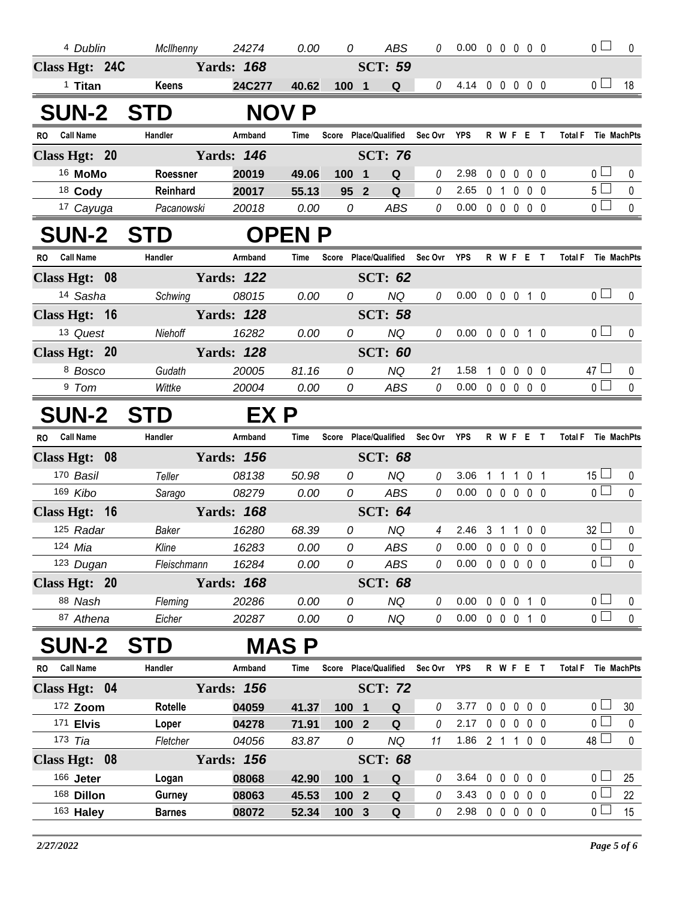| 4 Dublin                      | McIlhenny                      | 24274             | 0.00           | 0                                 | ABS            | 0           | $0.00 \t0 \t0 \t0 \t0 \t0$       |              |         |           |                   | $\overline{0}$        | $\mathbf{0}$ |
|-------------------------------|--------------------------------|-------------------|----------------|-----------------------------------|----------------|-------------|----------------------------------|--------------|---------|-----------|-------------------|-----------------------|--------------|
| Class Hgt: 24C                |                                | <b>Yards: 168</b> |                |                                   | <b>SCT: 59</b> |             |                                  |              |         |           |                   |                       |              |
| <sup>1</sup> Titan            | Keens                          | 24C277            | 40.62          | 1001                              | Q              | 0           | 4.14 0 0 0 0 0                   |              |         |           |                   | 0 <sub>l</sub>        | 18           |
| <b>SUN-2 STD</b>              |                                |                   | <b>NOV P</b>   |                                   |                |             |                                  |              |         |           |                   |                       |              |
| <b>Call Name</b><br>RO.       | Handler                        | Armband           | Time           | Score Place/Qualified             |                | Sec Ovr YPS |                                  |              |         | R W F E T |                   | Total F Tie MachPts   |              |
| Class Hgt: 20                 |                                | <b>Yards: 146</b> |                |                                   | <b>SCT: 76</b> |             |                                  |              |         |           |                   |                       |              |
| <sup>16</sup> MoMo            | Roessner                       | 20019             | 49.06          | $100$ 1                           | Q              | 0           | 2.98                             |              |         |           | 00000             | 0 <sub>0</sub>        | 0            |
| 18 Cody                       | Reinhard                       | 20017             | 55.13          | 95 <sup>2</sup>                   | Q              | 0           | 2.65                             |              | $0 1 0$ |           | $0\quad 0$        | 5 <sub>1</sub>        | 0            |
| 17 Cayuga                     | Pacanowski                     | 20018             | 0.00           | 0                                 | ABS            | 0           | 0.00                             |              |         |           | $00000$           | $\overline{0}$        | $\mathbf 0$  |
| <b>SUN-2 STD</b>              |                                |                   | <b>OPENP</b>   |                                   |                |             |                                  |              |         |           |                   |                       |              |
| RO Call Name                  | Handler                        | Armband           | Time           | Score Place/Qualified Sec Ovr YPS |                |             |                                  |              |         |           | R W F E T         | Total F Tie MachPts   |              |
| Class Hgt: 08                 |                                | <b>Yards: 122</b> |                |                                   | <b>SCT: 62</b> |             |                                  |              |         |           |                   |                       |              |
| 14 Sasha                      | Schwing                        | 08015             | 0.00           | 0                                 | NQ             | 0           | 0.00 0 0 0 1 0                   |              |         |           |                   | 0 <sub>0</sub>        | 0            |
| Class Hgt: 16                 |                                | <b>Yards: 128</b> |                |                                   | <b>SCT: 58</b> |             |                                  |              |         |           |                   |                       |              |
| 13 Quest                      | Niehoff                        | 16282             | 0.00           | 0                                 | <b>NQ</b>      | 0           | $0.00 \t0 \t0 \t0 \t1 \t0$       |              |         |           |                   | 0 <sup>1</sup>        | $\mathbf{0}$ |
| Class Hgt: 20                 |                                | <b>Yards: 128</b> |                |                                   | <b>SCT: 60</b> |             |                                  |              |         |           |                   |                       |              |
| 8 Bosco                       | Gudath                         | 20005             | 81.16          | 0                                 | <b>NQ</b>      | 21          | 1.58                             | $\mathbf{1}$ |         |           | $0\ 0\ 0\ 0$      | $47 \Box$             | 0            |
| 9 Tom                         | Wittke                         | 20004             | 0.00           | 0                                 | ABS            | $\theta$    | $0.00 \t0 \t0 \t0 \t0 \t0$       |              |         |           |                   | $\overline{0}$        | $\mathbf{0}$ |
| <b>SUN-2</b>                  | <b>STD</b>                     | EX P              |                |                                   |                |             |                                  |              |         |           |                   |                       |              |
| <b>Call Name</b><br><b>RO</b> | Handler                        | Armband           | Time           | Score Place/Qualified Sec Ovr YPS |                |             |                                  |              |         |           | R W F E T         | Total F Tie MachPts   |              |
| Class Hgt: 08                 |                                | <b>Yards: 156</b> |                |                                   | <b>SCT: 68</b> |             |                                  |              |         |           |                   |                       |              |
| 170 Basil                     | Teller                         | 08138             | 50.98          | 0                                 | NQ             | 0           | 3.06                             |              |         |           | 1 1 1 0 1         | $15 \Box$             | $\mathbf 0$  |
| 169 Kibo                      | Sarago                         | 08279             | 0.00           | $\overline{O}$                    | ABS            | $\theta$    | 0.00                             |              |         |           | 00000             | $\overline{0}$        | $\mathbf{0}$ |
| Class Hgt: 16                 |                                | <b>Yards: 168</b> |                |                                   | <b>SCT: 64</b> |             |                                  |              |         |           |                   |                       |              |
| 125 Radar                     | Baker                          | 16280             | 68.39          | 0                                 | <b>NQ</b>      | 4           | 2.46                             |              |         |           | 3 1 1 0 0         | $32 \Box$             | $\bf{0}$     |
| 124 <i>Mia</i>                | Kline                          | 16283             | 0.00           |                                   | 0 ABS          |             | $0$ 0.00 0 0 0 0 0               |              |         |           |                   | 0 <sup>L</sup>        | $\mathbf 0$  |
| 123 Dugan                     | Fleischmann                    | 16284             | 0.00           | 0                                 | ABS            | 0           | $0.00 \t0 \t0 \t0 \t0 \t0$       |              |         |           |                   | $\overline{0}$        | $\mathbf 0$  |
| Class Hgt: 20                 |                                |                   |                |                                   |                |             |                                  |              |         |           |                   |                       |              |
|                               |                                | <b>Yards: 168</b> |                |                                   | <b>SCT: 68</b> |             |                                  |              |         |           |                   |                       |              |
| 88 Nash                       | Fleming                        | 20286             | 0.00           | 0                                 | NQ             | 0           | $0.00 \t0 \t0 \t0 \t1 \t0$       |              |         |           |                   | 0 <sub>0</sub>        | 0            |
| 87 Athena                     | Eicher                         | 20287             | 0.00           | 0                                 | NQ             | $\theta$    | $0.00 \t0 \t0 \t0 \t1 \t0$       |              |         |           |                   | $\overline{0}$        | $\mathbf 0$  |
| <b>SUN-2</b>                  | <b>STD</b>                     |                   | <b>MAS P</b>   |                                   |                |             |                                  |              |         |           |                   |                       |              |
| RO Call Name                  | Handler                        | Armband           | Time           | Score Place/Qualified Sec Ovr YPS |                |             |                                  |              |         |           | R W F E T         | Total F Tie MachPts   |              |
| Class Hgt: 04                 |                                | <b>Yards: 156</b> |                |                                   | <b>SCT: 72</b> |             |                                  |              |         |           |                   |                       |              |
| 172 Zoom                      | Rotelle                        | 04059             | 41.37          | 100 1                             | Q              | 0           | 3.77                             | $0\quad 0$   |         |           | $0\quad 0\quad 0$ | 0 <sub>0</sub>        | 30           |
| 171 <b>Elvis</b>              | Loper                          | 04278             | 71.91          | 100 2                             | Q              | 0           | 2.17                             |              |         |           | 0 0 0 0 0         | 0 l                   | $\pmb{0}$    |
| 173 Tia                       | Fletcher                       | 04056             | 83.87          | 0                                 | NQ             | 11          | 1.86 2 1 1 0 0                   |              |         |           |                   | $48 \Box$             | $\pmb{0}$    |
| Class Hgt: 08                 |                                | <b>Yards: 156</b> |                |                                   | <b>SCT: 68</b> |             |                                  |              |         |           |                   |                       |              |
| 166 Jeter                     | Logan                          | 08068             | 42.90          | 100 1                             | Q              | 0           | 3.64 0 0 0 0 0                   |              |         |           |                   | 0 l                   | 25           |
| 168 Dillon<br>163 Haley       | <b>Gurney</b><br><b>Barnes</b> | 08063<br>08072    | 45.53<br>52.34 | 100 2<br>100 3                    | ${\bf Q}$<br>Q | 0<br>0      | 3.43 0 0 0 0 0<br>2.98 0 0 0 0 0 |              |         |           |                   | 0 <sub>0</sub><br>0 L | 22<br>15     |